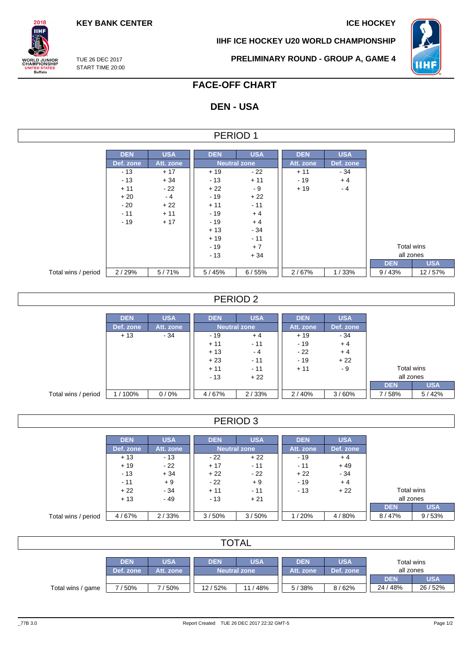**KEY BANK CENTER ICE HOCKEY** 

**IIHF ICE HOCKEY U20 WORLD CHAMPIONSHIP**



TUE 26 DEC 2017 START TIME 20:00

 $2018$ **IIHF** 

**ORLD JUNIOR**<br>HAMPIONSHIP

UNITED STATES<br>Buffalo

**PRELIMINARY ROUND - GROUP A, GAME 4**

## **FACE-OFF CHART**

## **DEN - USA**

| FRIOD |  |
|-------|--|
|-------|--|

|                     | <b>DEN</b> | <b>USA</b> | <b>DEN</b> | <b>USA</b>          | <b>DEN</b> | <b>USA</b> |
|---------------------|------------|------------|------------|---------------------|------------|------------|
|                     | Def. zone  | Att. zone  |            | <b>Neutral zone</b> | Att. zone  | Def. zone  |
|                     | $-13$      | $+17$      | $+19$      | $-22$               | $+11$      | - 34       |
|                     | $-13$      | $+34$      | $-13$      | $+11$               | $-19$      | $+4$       |
|                     | $+11$      | $-22$      | $+22$      | - 9                 | $+19$      | $-4$       |
|                     | $+20$      | $-4$       | - 19       | $+22$               |            |            |
|                     | $-20$      | $+22$      | $+11$      | $-11$               |            |            |
|                     | $-11$      | $+11$      | $-19$      | $+4$                |            |            |
|                     | $-19$      | $+17$      | $-19$      | $+4$                |            |            |
|                     |            |            | $+13$      | $-34$               |            |            |
|                     |            |            | $+19$      | $-11$               |            |            |
|                     |            |            | $-19$      | $+7$                |            |            |
|                     |            |            | $-13$      | $+34$               |            |            |
|                     |            |            |            |                     |            |            |
| Total wins / period | 2/29%      | 5/71%      | 5/45%      | 6/55%               | 2/67%      | 1/33%      |

### PERIOD 2

|                     | <b>DEN</b> | <b>USA</b> | <b>DEN</b> | <b>USA</b>          | <b>DEN</b> | <b>USA</b> |            |            |  |  |  |           |  |  |
|---------------------|------------|------------|------------|---------------------|------------|------------|------------|------------|--|--|--|-----------|--|--|
|                     | Def. zone  | Att. zone  |            | <b>Neutral zone</b> |            |            |            |            |  |  |  | Def. zone |  |  |
|                     | $+13$      | $-34$      | - 19       | $+4$                | $+19$      | $-34$      |            |            |  |  |  |           |  |  |
|                     |            |            | $+11$      | $-11$               | $-19$      | $+4$       |            |            |  |  |  |           |  |  |
|                     |            |            | $+13$      | $-4$                | $-22$      | $+4$       |            |            |  |  |  |           |  |  |
|                     |            |            | $+23$      | $-11$               | $-19$      | $+22$      |            |            |  |  |  |           |  |  |
|                     |            |            | $+11$      | $-11$               | $+11$      | - 9        | Total wins |            |  |  |  |           |  |  |
|                     |            |            | $-13$      | $+22$               |            |            | all zones  |            |  |  |  |           |  |  |
|                     |            |            |            |                     |            |            | <b>DEN</b> | <b>USA</b> |  |  |  |           |  |  |
| Total wins / period | 1/100%     | 0/0%       | 4/67%      | 2/33%               | 2/40%      | 3/60%      | 7/58%      | 5/42%      |  |  |  |           |  |  |

### PERIOD 3

|                     | <b>DEN</b> | <b>USA</b> | <b>DEN</b> | <b>USA</b>          | <b>DEN</b> | <b>USA</b> |            |            |
|---------------------|------------|------------|------------|---------------------|------------|------------|------------|------------|
|                     | Def. zone  | Att. zone  |            | <b>Neutral zone</b> | Att. zone  | Def. zone  |            |            |
|                     | $+13$      | $-13$      | $-22$      | $+22$               | $-19$      | $+4$       |            |            |
|                     | $+19$      | - 22       | $+17$      | $-11$               | $-11$      | $+49$      |            |            |
|                     | $-13$      | $+34$      | $+22$      | $-22$               | $+22$      | $-34$      |            |            |
|                     | $-11$      | $+9$       | $-22$      | $+9$                | $-19$      | $+4$       |            |            |
|                     | $+22$      | - 34       | $+11$      | $-11$               | $-13$      | $+22$      | Total wins |            |
|                     | $+13$      | $-49$      | $-13$      | $+21$               |            |            | all zones  |            |
|                     |            |            |            |                     |            |            | <b>DEN</b> | <b>USA</b> |
| Total wins / period | 4/67%      | 2/33%      | 3/50%      | 3/50%               | 1/20%      | 4/80%      | 8/47%      | 9/53%      |

| <b>TOTAL</b>      |                         |                         |                                          |        |                         |                         |                         |                        |  |  |
|-------------------|-------------------------|-------------------------|------------------------------------------|--------|-------------------------|-------------------------|-------------------------|------------------------|--|--|
|                   | <b>DEN</b><br>Def. zone | <b>USA</b><br>Att. zone | <b>USA</b><br><b>DEN</b><br>Neutral zone |        | <b>DEN</b><br>Att. zone | <b>USA</b><br>Def. zone | Total wins<br>all zones |                        |  |  |
| Total wins / game | 7/50%                   | 7/50%                   | 12/52%                                   | 11/48% | 5/38%                   | 8/62%                   | <b>DEN</b><br>24/48%    | <b>USA</b><br>26 / 52% |  |  |